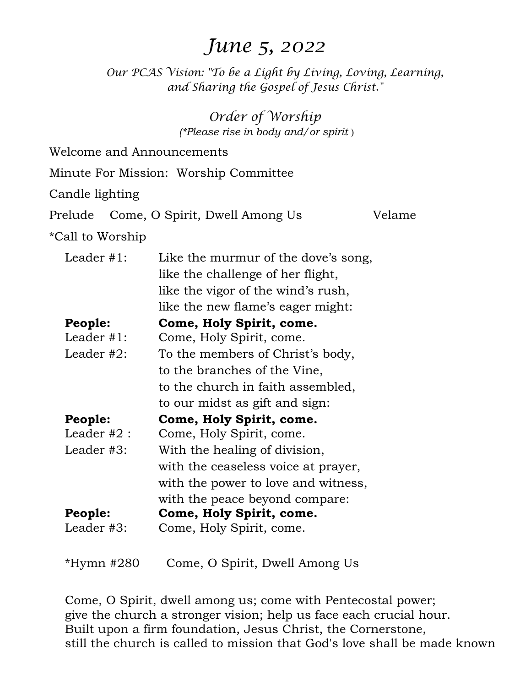# *June 5, 2022*

*Our PCAS Vision: "To be a Light by Living, Loving, Learning, and Sharing the Gospel of Jesus Christ."* 

> *Order of Worship (\*Please rise in body and/or spirit* )

| Minute For Mission: Worship Committee |                                     |        |  |
|---------------------------------------|-------------------------------------|--------|--|
| Candle lighting                       |                                     |        |  |
| Prelude                               | Come, O Spirit, Dwell Among Us      | Velame |  |
| *Call to Worship                      |                                     |        |  |
| Leader $#1$ :                         | Like the murmur of the dove's song, |        |  |
|                                       | like the challenge of her flight,   |        |  |
|                                       | like the vigor of the wind's rush,  |        |  |
|                                       | like the new flame's eager might:   |        |  |
| People:                               | Come, Holy Spirit, come.            |        |  |
| Leader $#1$ :                         | Come, Holy Spirit, come.            |        |  |
| Leader $#2$ :                         | To the members of Christ's body,    |        |  |
|                                       | to the branches of the Vine,        |        |  |
|                                       | to the church in faith assembled,   |        |  |
|                                       | to our midst as gift and sign:      |        |  |
| People:                               | Come, Holy Spirit, come.            |        |  |
| Leader $#2$ :                         | Come, Holy Spirit, come.            |        |  |
| Leader #3:                            | With the healing of division,       |        |  |
|                                       | with the ceaseless voice at prayer, |        |  |
|                                       | with the power to love and witness, |        |  |
|                                       | with the peace beyond compare:      |        |  |
| People:                               | Come, Holy Spirit, come.            |        |  |
| Leader $#3$ :                         | Come, Holy Spirit, come.            |        |  |
| *Hymn #280                            | Come, O Spirit, Dwell Among Us      |        |  |

Welcome and Announcements

Come, O Spirit, dwell among us; come with Pentecostal power; give the church a stronger vision; help us face each crucial hour. Built upon a firm foundation, Jesus Christ, the Cornerstone, still the church is called to mission that God's love shall be made known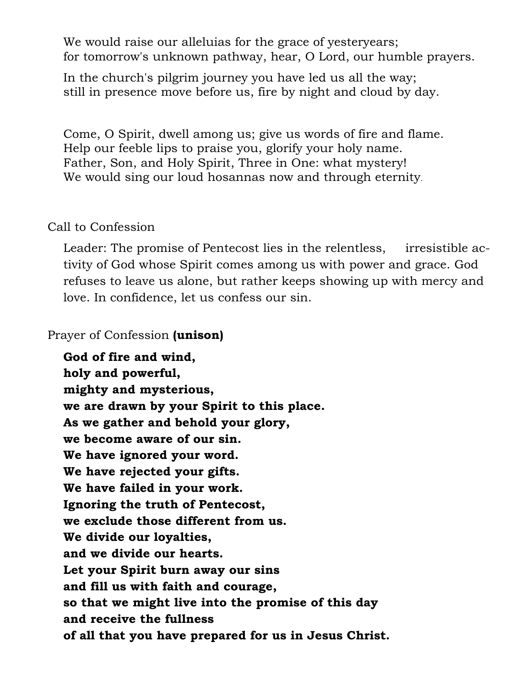We would raise our alleluias for the grace of yesteryears; for tomorrow's unknown pathway, hear, O Lord, our humble prayers.

In the church's pilgrim journey you have led us all the way; still in presence move before us, fire by night and cloud by day.

Come, O Spirit, dwell among us; give us words of fire and flame. Help our feeble lips to praise you, glorify your holy name. Father, Son, and Holy Spirit, Three in One: what mystery! We would sing our loud hosannas now and through eternity.

### Call to Confession

Leader: The promise of Pentecost lies in the relentless, irresistible activity of God whose Spirit comes among us with power and grace. God refuses to leave us alone, but rather keeps showing up with mercy and love. In confidence, let us confess our sin.

Prayer of Confession **(unison)** 

 **God of fire and wind, holy and powerful, mighty and mysterious, we are drawn by your Spirit to this place. As we gather and behold your glory, we become aware of our sin. We have ignored your word. We have rejected your gifts. We have failed in your work. Ignoring the truth of Pentecost, we exclude those different from us. We divide our loyalties, and we divide our hearts. Let your Spirit burn away our sins and fill us with faith and courage, so that we might live into the promise of this day and receive the fullness of all that you have prepared for us in Jesus Christ.**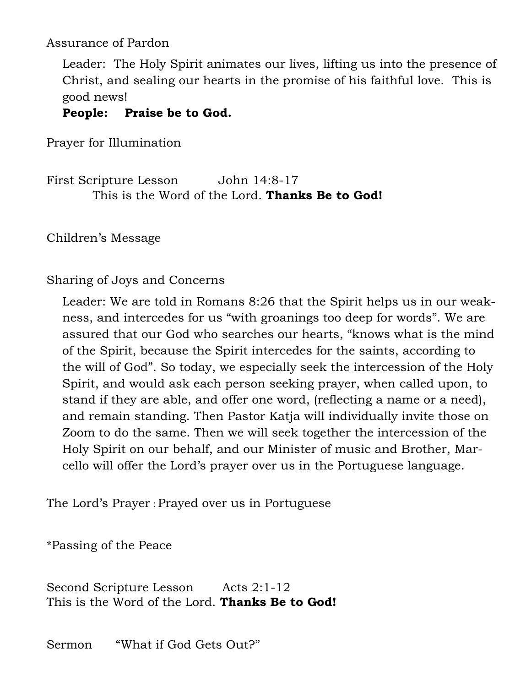Assurance of Pardon

Leader: The Holy Spirit animates our lives, lifting us into the presence of Christ, and sealing our hearts in the promise of his faithful love. This is good news!

## **People: Praise be to God.**

Prayer for Illumination

First Scripture Lesson John 14:8-17 This is the Word of the Lord. **Thanks Be to God!** 

Children's Message

Sharing of Joys and Concerns

Leader: We are told in Romans 8:26 that the Spirit helps us in our weakness, and intercedes for us "with groanings too deep for words". We are assured that our God who searches our hearts, "knows what is the mind of the Spirit, because the Spirit intercedes for the saints, according to the will of God". So today, we especially seek the intercession of the Holy Spirit, and would ask each person seeking prayer, when called upon, to stand if they are able, and offer one word, (reflecting a name or a need), and remain standing. Then Pastor Katja will individually invite those on Zoom to do the same. Then we will seek together the intercession of the Holy Spirit on our behalf, and our Minister of music and Brother, Marcello will offer the Lord's prayer over us in the Portuguese language.

The Lord's Prayer : Prayed over us in Portuguese

\*Passing of the Peace

Second Scripture Lesson Acts 2:1-12 This is the Word of the Lord. **Thanks Be to God!** 

Sermon "What if God Gets Out?"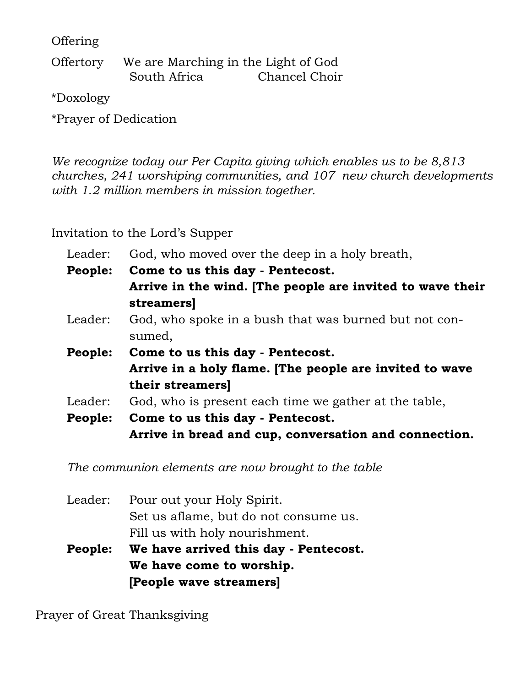Offering

Offertory We are Marching in the Light of God South Africa Chancel Choir

\*Doxology

\*Prayer of Dedication

*We recognize today our Per Capita giving which enables us to be 8,813 churches, 241 worshiping communities, and 107 new church developments with 1.2 million members in mission together.*

Invitation to the Lord's Supper

| Leader: | God, who moved over the deep in a holy breath,            |
|---------|-----------------------------------------------------------|
| People: | Come to us this day - Pentecost.                          |
|         | Arrive in the wind. [The people are invited to wave their |
|         | streamers]                                                |
| Leader: | God, who spoke in a bush that was burned but not con-     |
|         | sumed,                                                    |
| People: | Come to us this day - Pentecost.                          |
|         | Arrive in a holy flame. [The people are invited to wave   |
|         | their streamers]                                          |
| Leader: | God, who is present each time we gather at the table,     |
| People: | Come to us this day - Pentecost.                          |
|         | Arrive in bread and cup, conversation and connection.     |

*The communion elements are now brought to the table* 

| Leader:        | Pour out your Holy Spirit.            |
|----------------|---------------------------------------|
|                |                                       |
|                | Set us aflame, but do not consume us. |
|                | Fill us with holy nourishment.        |
| <b>People:</b> | We have arrived this day - Pentecost. |
|                | We have come to worship.              |
|                | [People wave streamers]               |

Prayer of Great Thanksgiving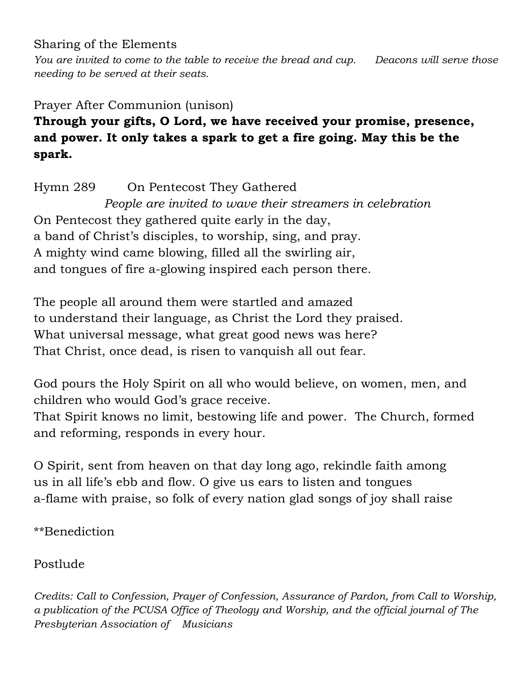Sharing of the Elements

*You are invited to come to the table to receive the bread and cup. Deacons will serve those needing to be served at their seats.* 

# Prayer After Communion (unison) **Through your gifts, O Lord, we have received your promise, presence, and power. It only takes a spark to get a fire going. May this be the spark.**

Hymn 289 On Pentecost They Gathered *People are invited to wave their streamers in celebration*  On Pentecost they gathered quite early in the day, a band of Christ's disciples, to worship, sing, and pray. A mighty wind came blowing, filled all the swirling air, and tongues of fire a-glowing inspired each person there.

The people all around them were startled and amazed to understand their language, as Christ the Lord they praised. What universal message, what great good news was here? That Christ, once dead, is risen to vanquish all out fear.

God pours the Holy Spirit on all who would believe, on women, men, and children who would God's grace receive.

That Spirit knows no limit, bestowing life and power. The Church, formed and reforming, responds in every hour.

O Spirit, sent from heaven on that day long ago, rekindle faith among us in all life's ebb and flow. O give us ears to listen and tongues a-flame with praise, so folk of every nation glad songs of joy shall raise

\*\*Benediction

Postlude

*Credits: Call to Confession, Prayer of Confession, Assurance of Pardon, from Call to Worship, a publication of the PCUSA Office of Theology and Worship, and the official journal of The Presbyterian Association of Musicians*